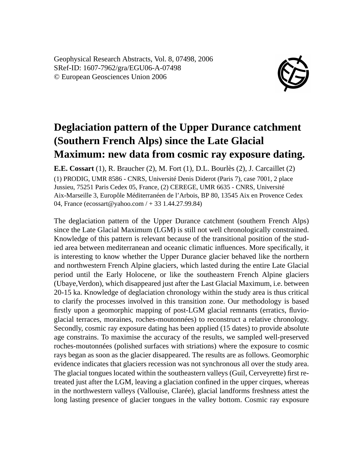Geophysical Research Abstracts, Vol. 8, 07498, 2006 SRef-ID: 1607-7962/gra/EGU06-A-07498 © European Geosciences Union 2006



## **Deglaciation pattern of the Upper Durance catchment (Southern French Alps) since the Late Glacial Maximum: new data from cosmic ray exposure dating.**

**E.E. Cossart** (1), R. Braucher (2), M. Fort (1), D.L. Bourlès (2), J. Carcaillet (2) (1) PRODIG, UMR 8586 - CNRS, Université Denis Diderot (Paris 7), case 7001, 2 place Jussieu, 75251 Paris Cedex 05, France, (2) CEREGE, UMR 6635 - CNRS, Université Aix-Marseille 3, Europôle Méditerranéen de l'Arbois, BP 80, 13545 Aix en Provence Cedex 04, France (ecossart@yahoo.com / + 33 1.44.27.99.84)

The deglaciation pattern of the Upper Durance catchment (southern French Alps) since the Late Glacial Maximum (LGM) is still not well chronologically constrained. Knowledge of this pattern is relevant because of the transitional position of the studied area between mediterranean and oceanic climatic influences. More specifically, it is interesting to know whether the Upper Durance glacier behaved like the northern and northwestern French Alpine glaciers, which lasted during the entire Late Glacial period until the Early Holocene, or like the southeastern French Alpine glaciers (Ubaye,Verdon), which disappeared just after the Last Glacial Maximum, i.e. between 20-15 ka. Knowledge of deglaciation chronology within the study area is thus critical to clarify the processes involved in this transition zone. Our methodology is based firstly upon a geomorphic mapping of post-LGM glacial remnants (erratics, fluvioglacial terraces, moraines, roches-moutonnées) to reconstruct a relative chronology. Secondly, cosmic ray exposure dating has been applied (15 dates) to provide absolute age constrains. To maximise the accuracy of the results, we sampled well-preserved roches-moutonnées (polished surfaces with striations) where the exposure to cosmic rays began as soon as the glacier disappeared. The results are as follows. Geomorphic evidence indicates that glaciers recession was not synchronous all over the study area. The glacial tongues located within the southeastern valleys (Guil, Cerveyrette) first retreated just after the LGM, leaving a glaciation confined in the upper cirques, whereas in the northwestern valleys (Vallouise, Clarée), glacial landforms freshness attest the long lasting presence of glacier tongues in the valley bottom. Cosmic ray exposure